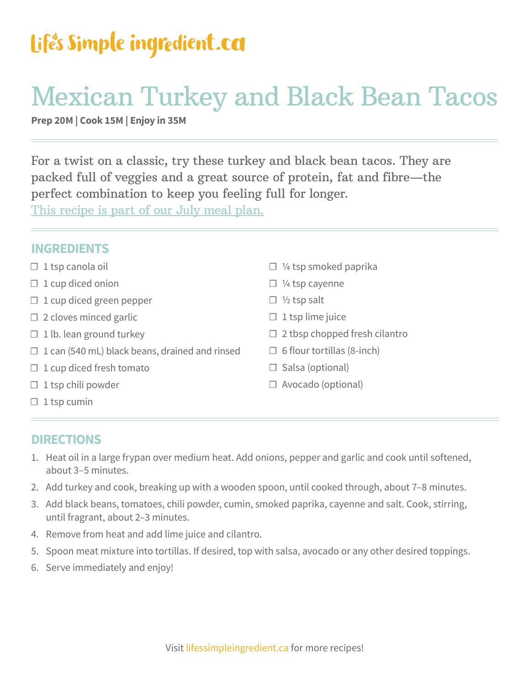### Life's Simple ingredient.ca

## Mexican Turkey and Black Bean Tacos

**Prep 20M | Cook 15M | Enjoy in 35M**

For a twist on a classic, try these turkey and black bean tacos. They are packed full of veggies and a great source of protein, fat and fibre—the perfect combination to keep you feeling full for longer.

[This recipe is part of our July meal plan.](http://lifessimpleingredient.ca)

| INUNLLINIJ                                            |                                      |
|-------------------------------------------------------|--------------------------------------|
| $\Box$ 1 tsp canola oil                               | $\Box$ 1/4 tsp smoked paprika        |
| $\Box$ 1 cup diced onion                              | $\Box$ 1/4 tsp cayenne               |
| $\Box$ 1 cup diced green pepper                       | $\Box$ 1/2 tsp salt                  |
| $\Box$ 2 cloves minced garlic                         | $\Box$ 1 tsp lime juice              |
| $\Box$ 1 lb. lean ground turkey                       | $\Box$ 2 tbsp chopped fresh cilantro |
| $\Box$ 1 can (540 mL) black beans, drained and rinsed | $\Box$ 6 flour tortillas (8-inch)    |
| $\Box$ 1 cup diced fresh tomato                       | $\Box$ Salsa (optional)              |
| $\Box$ 1 tsp chili powder                             | $\Box$ Avocado (optional)            |
| $\Box$ 1 tsp cumin                                    |                                      |
|                                                       |                                      |

#### **DIRECTIONS**

**INGREDIENTS**

- 1. Heat oil in a large frypan over medium heat. Add onions, pepper and garlic and cook until softened, about 3–5 minutes.
- 2. Add turkey and cook, breaking up with a wooden spoon, until cooked through, about 7–8 minutes.
- 3. Add black beans, tomatoes, chili powder, cumin, smoked paprika, cayenne and salt. Cook, stirring, until fragrant, about 2–3 minutes.
- 4. Remove from heat and add lime juice and cilantro.
- 5. Spoon meat mixture into tortillas. If desired, top with salsa, avocado or any other desired toppings.
- 6. Serve immediately and enjoy!